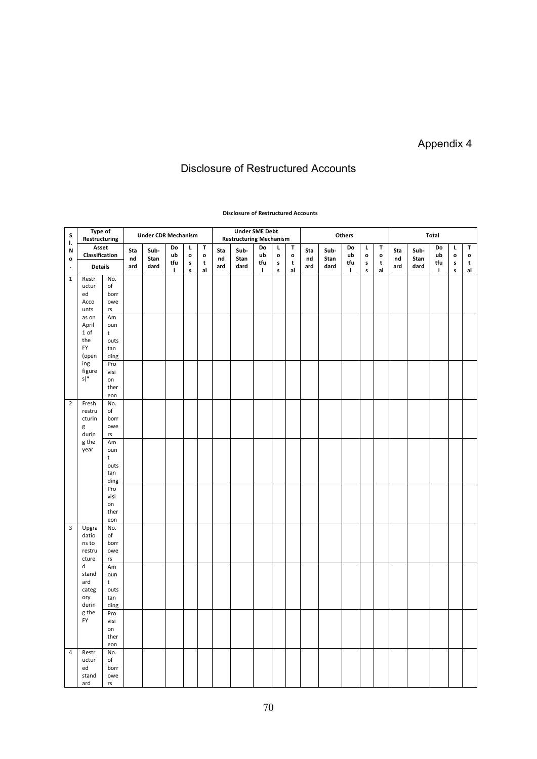## Appendix 4

## Disclosure of Restructured Accounts

## **Type of Restructuring Under CDR Mechanism Under SME Debt Restructuring Mechanism Others Total Asset Classification S l. N o . Details Sta nd ard Sub-Stan dard Do ub tfu l L o s s T o t al Sta nd ard Sub-Stan dard Do ub tfu l L o s s T o t al Sta nd ard Sub-Stan dard Do ub tfu l L o s s T o t al Sta nd ard Sub-Stan dard Do ub tfu l L o s s T o t al** No. of borr owe rs Am oun t outs tan ding 1 Restr uctur ed Acco unts as on April 1 of the FY (open ing figure s)\* Pro visi on ther eon No. of borr owe rs Am oun t outs tan ding 2 Fresh restru cturin g durin g the year Pro visi on ther eon No. of borr owe rs Am oun t **outs** tan ding 3 Upgra datio ns to restru cture d stand ard categ ory durin g the FY Pro visi on ther eon 4 Restr uctur ed stand No. of borr owe

## **Disclosure of Restructured Accounts**

ard

rs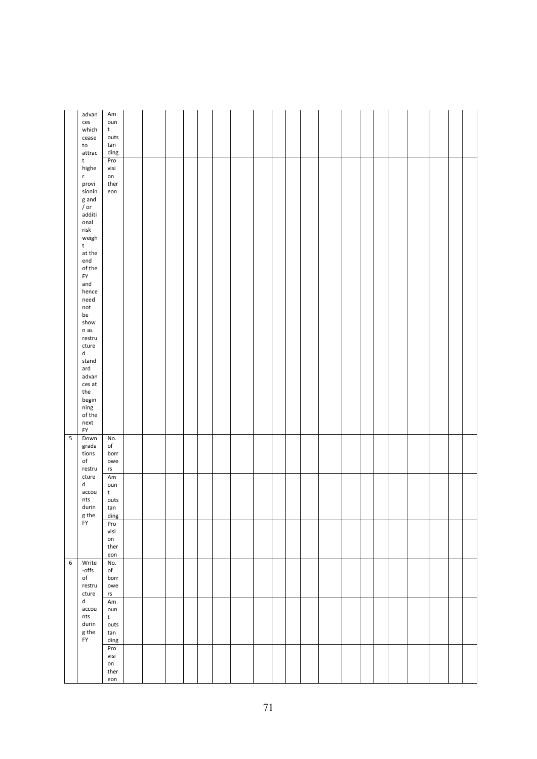|                          | advan<br>ces<br>which<br>cease<br>to<br>attrac                                              | Am<br>oun<br>t<br>outs<br>tan<br>ding             |  |  |  |  |  |  |  |  |  |  |
|--------------------------|---------------------------------------------------------------------------------------------|---------------------------------------------------|--|--|--|--|--|--|--|--|--|--|
|                          | t<br>highe<br>r<br>provi<br>sionin                                                          | Pro<br>visi<br>on<br>ther<br>eon                  |  |  |  |  |  |  |  |  |  |  |
|                          | g and<br>/ or<br>additi<br>onal<br>$\ensuremath{\mathsf{risk}}\xspace$                      |                                                   |  |  |  |  |  |  |  |  |  |  |
|                          | weigh<br>$\sf t$<br>at the<br>end<br>of the                                                 |                                                   |  |  |  |  |  |  |  |  |  |  |
|                          | ${\sf FY}$<br>and<br>hence<br>need<br>$\operatorname{\mathsf{not}}$<br>be                   |                                                   |  |  |  |  |  |  |  |  |  |  |
|                          | show<br>$n$ as<br>restru<br>cture<br>d                                                      |                                                   |  |  |  |  |  |  |  |  |  |  |
|                          | stand<br>ard<br>advan<br>ces at<br>the                                                      |                                                   |  |  |  |  |  |  |  |  |  |  |
|                          | begin<br>ning<br>of the<br>next<br><b>FY</b>                                                |                                                   |  |  |  |  |  |  |  |  |  |  |
| $\overline{\phantom{0}}$ | Down<br>grada<br>tions<br>$_{\mathsf{of}}$<br>restru<br>cture<br>d<br>accou<br>nts<br>durin | No.<br>of<br>borr<br>owe<br>$\mathsf{rs}\xspace$  |  |  |  |  |  |  |  |  |  |  |
|                          |                                                                                             | Am<br>oun<br>t<br>outs<br>tan                     |  |  |  |  |  |  |  |  |  |  |
|                          | ${\sf g}$ the<br>FY                                                                         | $\frac{d$ ing<br>Pro<br>visi<br>on<br>ther<br>eon |  |  |  |  |  |  |  |  |  |  |
| $6\overline{6}$          | Write<br>-offs<br>of<br>restru<br>cture<br>d<br>accou<br>$\sf{nts}$<br>durin<br>g the       | No.<br>of<br>borr<br>owe<br>rs                    |  |  |  |  |  |  |  |  |  |  |
|                          |                                                                                             | Am<br>oun<br>t<br>outs<br>tan<br>ding             |  |  |  |  |  |  |  |  |  |  |
|                          | ${\sf FY}$                                                                                  | Pro<br>visi<br>on<br>ther<br>eon                  |  |  |  |  |  |  |  |  |  |  |